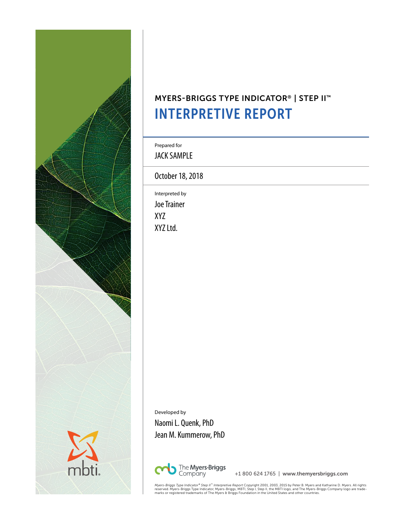

# MYERS-BRIGGS TYPE INDICATOR® | STEP II™ INTERPRETIVE REPORT

Prepared for

JACK SAMPLE

October 18, 2018

Interpreted by Joe Trainer XYZ XYZ Ltd.

Developed by Naomi L. Quenk, PhD Jean M. Kummerow, PhD



+1 800 624 1765 | www.themyersbriggs.com

*Myers-Briggs Type Indicator® Step II™ Interpretive Report Copyright 2001, 2003, 2015 by Peter B. Myers and Katharine D. Myers. All rights<br>reserved. Myers-Briggs Type Indicator, Myers-Briggs, MBTI, Step I, Step II, the MBT*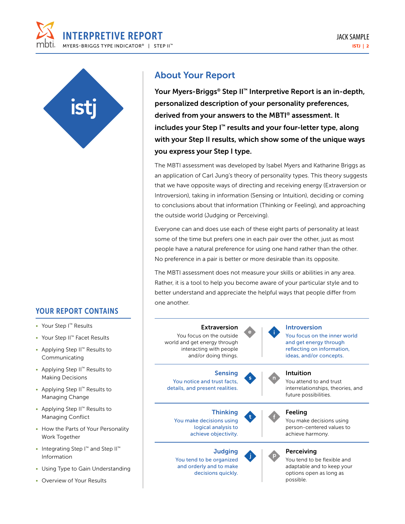



### YOUR REPORT CONTAINS

- Your Step I™ Results
- Your Step II™ Facet Results
- Applying Step II™ Results to Communicating
- Applying Step II™ Results to Making Decisions
- Applying Step II™ Results to Managing Change
- Applying Step II™ Results to Managing Conflict
- How the Parts of Your Personality Work Together
- Integrating Step I™ and Step II™ Information
- Using Type to Gain Understanding
- Overview of Your Results

### About Your Report

Your Myers-Briggs® Step II™ Interpretive Report is an in-depth, personalized description of your personality preferences, derived from your answers to the MBTI® assessment. It includes your Step I™ results and your four-letter type, along with your Step II results, which show some of the unique ways you express your Step I type.

The MBTI assessment was developed by Isabel Myers and Katharine Briggs as an application of Carl Jung's theory of personality types. This theory suggests that we have opposite ways of directing and receiving energy (Extraversion or Introversion), taking in information (Sensing or Intuition), deciding or coming to conclusions about that information (Thinking or Feeling), and approaching the outside world (Judging or Perceiving).

Everyone can and does use each of these eight parts of personality at least some of the time but prefers one in each pair over the other, just as most people have a natural preference for using one hand rather than the other. No preference in a pair is better or more desirable than its opposite.

The MBTI assessment does not measure your skills or abilities in any area. Rather, it is a tool to help you become aware of your particular style and to better understand and appreciate the helpful ways that people differ from one another.

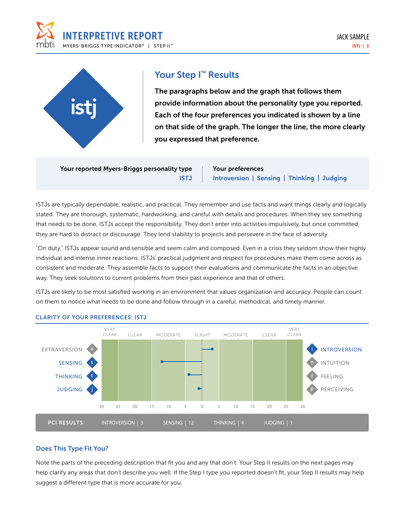



### Your Step I<sup>™</sup> Results

The paragraphs below and the graph that follows them provide information about the personality type you reported. Each of the four preferences you indicated is shown by a line on that side of the graph. The longer the line, the more clearly you expressed that preference.

Your reported Myers-Briggs personality type ISTJ Your preferences Introversion | Sensing | Thinking | Judging

ISTJs are typically dependable, realistic, and practical. They remember and use facts and want things clearly and logically stated. They are thorough, systematic, hardworking, and careful with details and procedures. When they see something that needs to be done, ISTJs accept the responsibility. They don't enter into activities impulsively, but once committed, they are hard to distract or discourage. They lend stability to projects and persevere in the face of adversity.

"On duty," ISTJs appear sound and sensible and seem calm and composed. Even in a crisis they seldom show their highly individual and intense inner reactions. ISTJs' practical judgment and respect for procedures make them come across as consistent and moderate. They assemble facts to support their evaluations and communicate the facts in an objective way. They seek solutions to current problems from their past experience and that of others.

ISTJs are likely to be most satisfied working in an environment that values organization and accuracy. People can count on them to notice what needs to be done and follow through in a careful, methodical, and timely manner.



#### CLARITY OF YOUR PREFERENCES: ISTJ

#### Does This Type Fit You?

Note the parts of the preceding description that fit you and any that don't. Your Step II results on the next pages may help clarify any areas that don't describe you well. If the Step I type you reported doesn't fit, your Step II results may help suggest a different type that is more accurate for you.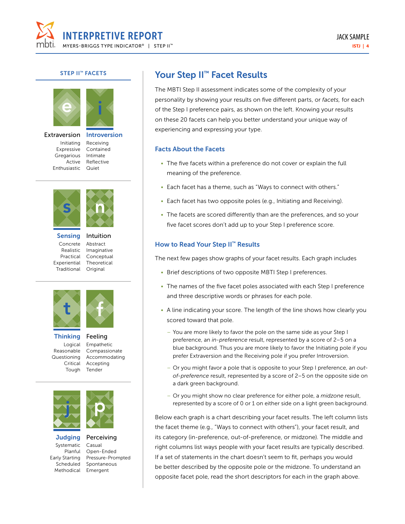

#### STEP II<sup>™</sup> FACETS



Extraversion Initiating Expressive Gregarious Enthusiastic Quiet





Sensing Concrete Realistic Practical Experiential Traditional





**Thinking** Logical Reasonable Critical Tough

Questioning Accommodating Feeling Empathetic Compassionate Accepting Tender



**Judging** Systematic Planful Early Starting Scheduled Methodical Emergent

Perceiving Casual Open-Ended Pressure-Prompted Spontaneous

### Your Step II<sup>™</sup> Facet Results

The MBTI Step II assessment indicates some of the complexity of your personality by showing your results on five different parts, or *facets,* for each of the Step I preference pairs, as shown on the left. Knowing your results on these 20 facets can help you better understand your unique way of experiencing and expressing your type.

#### Facts About the Facets

- The five facets within a preference do not cover or explain the full meaning of the preference.
- Each facet has a theme, such as "Ways to connect with others."
- Each facet has two opposite poles (e.g., Initiating and Receiving).
- The facets are scored differently than are the preferences, and so your five facet scores don't add up to your Step I preference score.

#### How to Read Your Step II™ Results

The next few pages show graphs of your facet results. Each graph includes

- Brief descriptions of two opposite MBTI Step I preferences.
- The names of the five facet poles associated with each Step I preference and three descriptive words or phrases for each pole.
- A line indicating your score. The length of the line shows how clearly you scored toward that pole.
	- You are more likely to favor the pole on the same side as your Step I preference, an *in-preference* result, represented by a score of 2–5 on a blue background. Thus you are more likely to favor the Initiating pole if you prefer Extraversion and the Receiving pole if you prefer Introversion.
	- Or you might favor a pole that is opposite to your Step I preference, an *outof-preference* result, represented by a score of 2–5 on the opposite side on a dark green background.
	- Or you might show no clear preference for either pole, a *midzone* result, represented by a score of 0 or 1 on either side on a light green background.

Below each graph is a chart describing your facet results. The left column lists the facet theme (e.g., "Ways to connect with others"), your facet result, and its category (in-preference, out-of-preference, or midzone). The middle and right columns list ways people with your facet results are typically described. If a set of statements in the chart doesn't seem to fit, perhaps you would be better described by the opposite pole or the midzone. To understand an opposite facet pole, read the short descriptors for each in the graph above.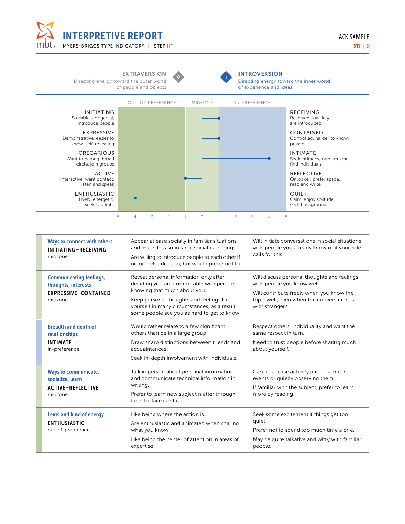

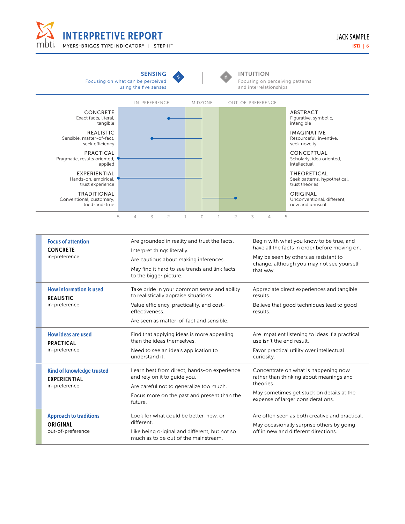



| <b>Focus of attention</b><br><b>CONCRETE</b> |                                                  | Are grounded in reality and trust the facts.<br>Interpret things literally.           | Begin with what you know to be true, and<br>have all the facts in order before moving on. |  |  |  |
|----------------------------------------------|--------------------------------------------------|---------------------------------------------------------------------------------------|-------------------------------------------------------------------------------------------|--|--|--|
|                                              | in-preference                                    | Are cautious about making inferences.                                                 | May be seen by others as resistant to                                                     |  |  |  |
|                                              |                                                  | May find it hard to see trends and link facts<br>to the bigger picture.               | change, although you may not see yourself<br>that way.                                    |  |  |  |
|                                              | How information is used<br><b>REALISTIC</b>      | Take pride in your common sense and ability<br>to realistically appraise situations.  | Appreciate direct experiences and tangible<br>results.                                    |  |  |  |
|                                              | in-preference                                    | Value efficiency, practicality, and cost-<br>effectiveness.                           | Believe that good techniques lead to good<br>results.                                     |  |  |  |
|                                              |                                                  | Are seen as matter-of-fact and sensible.                                              |                                                                                           |  |  |  |
|                                              | How ideas are used<br><b>PRACTICAL</b>           | Find that applying ideas is more appealing<br>than the ideas themselves               | Are impatient listening to ideas if a practical<br>use isn't the end result               |  |  |  |
|                                              | in-preference                                    | Need to see an idea's application to<br>understand it.                                | Favor practical utility over intellectual<br>curiosity.                                   |  |  |  |
|                                              | Kind of knowledge trusted<br><b>EXPERIENTIAL</b> | Learn best from direct, hands-on experience<br>and rely on it to guide you.           | Concentrate on what is happening now<br>rather than thinking about meanings and           |  |  |  |
|                                              | in-preference                                    | Are careful not to generalize too much.                                               | theories.                                                                                 |  |  |  |
|                                              |                                                  | Focus more on the past and present than the<br>future.                                | May sometimes get stuck on details at the<br>expense of larger considerations.            |  |  |  |
|                                              | <b>Approach to traditions</b>                    | Look for what could be better, new, or                                                | Are often seen as both creative and practical.                                            |  |  |  |
|                                              | <b>ORIGINAL</b>                                  | different.                                                                            | May occasionally surprise others by going                                                 |  |  |  |
|                                              | out-of-preference                                | Like being original and different, but not so<br>much as to be out of the mainstream. | off in new and different directions.                                                      |  |  |  |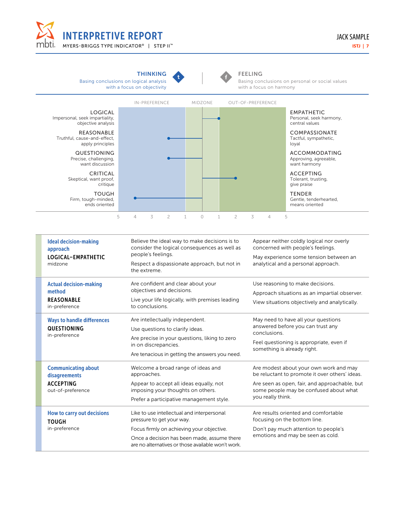



| How to carry out de |  |
|---------------------|--|
| <b>TOUGH</b>        |  |
|                     |  |

Communicating about disagreements ACCEPTING out-of-preference

| How to carry out decisions<br><b>TOUGH</b> | Like to use intellectual and interpersonal<br>pressure to get your way.                           | Are results oriented and comfortable<br>focusing on the bottom line. |  |  |
|--------------------------------------------|---------------------------------------------------------------------------------------------------|----------------------------------------------------------------------|--|--|
| in-preference                              | Focus firmly on achieving your objective.                                                         | Don't pay much attention to people's                                 |  |  |
|                                            | Once a decision has been made, assume there<br>are no alternatives or those available won't work. | emotions and may be seen as cold.                                    |  |  |

something is already right.

you really think.

Are modest about your own work and may be reluctant to promote it over others' ideas. Are seen as open, fair, and approachable, but some people may be confused about what

Are tenacious in getting the answers you need.

Welcome a broad range of ideas and

Appear to accept all ideas equally, not imposing your thoughts on others. Prefer a participative management style.

approaches.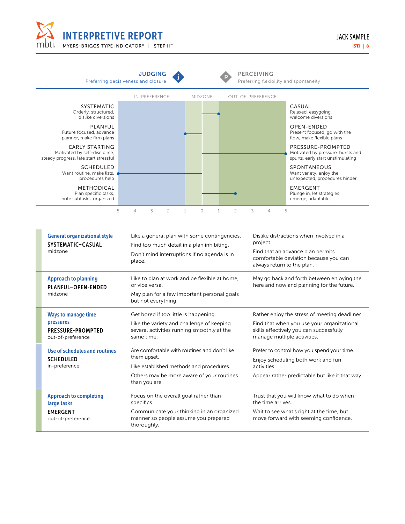



| <b>General organizational style</b><br>SYSTEMATIC-CASUAL<br>midzone                      | Like a general plan with some contingencies.<br>Find too much detail in a plan inhibiting.<br>Don't mind interruptions if no agenda is in<br>place.                   | Dislike distractions when involved in a<br>project.<br>Find that an advance plan permits<br>comfortable deviation because you can<br>always return to the plan.       |
|------------------------------------------------------------------------------------------|-----------------------------------------------------------------------------------------------------------------------------------------------------------------------|-----------------------------------------------------------------------------------------------------------------------------------------------------------------------|
| <b>Approach to planning</b><br>PLANFUL-OPEN-ENDED<br>midzone                             | Like to plan at work and be flexible at home,<br>or vice versa.<br>May plan for a few important personal goals<br>but not everything.                                 | May go back and forth between enjoying the<br>here and now and planning for the future.                                                                               |
| <b>Ways to manage time</b><br>pressures<br><b>PRESSURE-PROMPTED</b><br>out-of-preference | Get bored if too little is happening.<br>Like the variety and challenge of keeping<br>several activities running smoothly at the<br>same time.                        | Rather enjoy the stress of meeting deadlines.<br>Find that when you use your organizational<br>skills effectively you can successfully<br>manage multiple activities. |
| Use of schedules and routines<br><b>SCHEDULED</b><br>in-preference                       | Are comfortable with routines and don't like<br>them upset.<br>Like established methods and procedures.<br>Others may be more aware of your routines<br>than you are. | Prefer to control how you spend your time.<br>Enjoy scheduling both work and fun<br>activities.<br>Appear rather predictable but like it that way.                    |
| <b>Approach to completing</b><br>large tasks<br><b>EMERGENT</b><br>out-of-preference     | Focus on the overall goal rather than<br>specifics.<br>Communicate your thinking in an organized<br>manner so people assume you prepared<br>thoroughly.               | Trust that you will know what to do when<br>the time arrives.<br>Wait to see what's right at the time, but<br>move forward with seeming confidence.                   |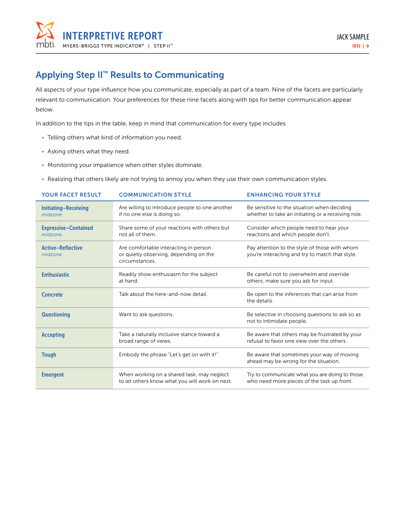

# Applying Step II™ Results to Communicating

All aspects of your type influence how you communicate, especially as part of a team. Nine of the facets are particularly relevant to communication. Your preferences for these nine facets along with tips for better communication appear below.

In addition to the tips in the table, keep in mind that communication for every type includes

- Telling others what kind of information you need.
- Asking others what they need.
- Monitoring your impatience when other styles dominate.
- Realizing that others likely are not trying to annoy you when they use their own communication styles.

| <b>YOUR FACET RESULT</b>               | <b>COMMUNICATION STYLE</b>                                                                        | <b>ENHANCING YOUR STYLE</b>                                                                       |
|----------------------------------------|---------------------------------------------------------------------------------------------------|---------------------------------------------------------------------------------------------------|
| Initiating-Receiving<br>midzone        | Are willing to introduce people to one another<br>if no one else is doing so.                     | Be sensitive to the situation when deciding<br>whether to take an initiating or a receiving role. |
| <b>Expressive-Contained</b><br>midzone | Share some of your reactions with others but<br>not all of them.                                  | Consider which people need to hear your<br>reactions and which people don't.                      |
| <b>Active-Reflective</b><br>midzone    | Are comfortable interacting in person<br>or quietly observing, depending on the<br>circumstances. | Pay attention to the style of those with whom<br>you're interacting and try to match that style.  |
| <b>Enthusiastic</b>                    | Readily show enthusiasm for the subject<br>at hand.                                               | Be careful not to overwhelm and override<br>others; make sure you ask for input.                  |
| <b>Concrete</b>                        | Talk about the here-and-now detail.                                                               | Be open to the inferences that can arise from<br>the details.                                     |
| <b>Questioning</b>                     | Want to ask questions.                                                                            | Be selective in choosing questions to ask so as<br>not to intimidate people.                      |
| <b>Accepting</b>                       | Take a naturally inclusive stance toward a<br>broad range of views.                               | Be aware that others may be frustrated by your<br>refusal to favor one view over the others.      |
| <b>Tough</b>                           | Embody the phrase "Let's get on with it!"                                                         | Be aware that sometimes your way of moving<br>ahead may be wrong for the situation.               |
| <b>Emergent</b>                        | When working on a shared task, may neglect<br>to let others know what you will work on next.      | Try to communicate what you are doing to those<br>who need more pieces of the task up front.      |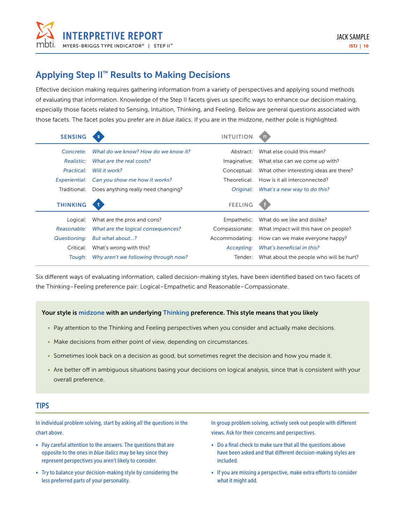

### Applying Step II™ Results to Making Decisions

Effective decision making requires gathering information from a variety of perspectives and applying sound methods of evaluating that information. Knowledge of the Step II facets gives us specific ways to enhance our decision making, especially those facets related to Sensing, Intuition, Thinking, and Feeling. Below are general questions associated with those facets. The facet poles you prefer are in *blue italics.* If you are in the midzone, neither pole is highlighted.

| <b>SENSING</b>  |                                     | INTUITIOI      |                                         |
|-----------------|-------------------------------------|----------------|-----------------------------------------|
| Concrete:       | What do we know? How do we know it? | Abstract:      | What else could this mean?              |
| Realistic:      | What are the real costs?            | Imaginative:   | What else can we come up with?          |
| Practical:      | Will it work?                       | Conceptual:    | What other interesting ideas are there? |
| Experiential:   | Can you show me how it works?       | Theoretical:   | How is it all interconnected?           |
| Traditional:    | Does anything really need changing? | Original:      | What's a new way to do this?            |
|                 |                                     |                |                                         |
| <b>THINKING</b> |                                     | <b>FEELING</b> |                                         |
| Logical:        | What are the pros and cons?         | Empathetic:    | What do we like and dislike?            |
| Reasonable:     | What are the logical consequences?  | Compassionate: | What impact will this have on people?   |
| Questioning:    | But what about?                     | Accommodating: | How can we make everyone happy?         |
| Critical:       | What's wrong with this?             | Accepting:     | What's beneficial in this?              |

Six different ways of evaluating information, called decision-making styles, have been identified based on two facets of the Thinking–Feeling preference pair: Logical–Empathetic and Reasonable–Compassionate.

#### Your style is midzone with an underlying Thinking preference. This style means that you likely

- Pay attention to the Thinking and Feeling perspectives when you consider and actually make decisions.
- Make decisions from either point of view, depending on circumstances.
- Sometimes look back on a decision as good, but sometimes regret the decision and how you made it.
- Are better off in ambiguous situations basing your decisions on logical analysis, since that is consistent with your overall preference.

#### **TIPS**

In individual problem solving, start by asking *all* the questions in the chart above.

- Pay careful attention to the answers. The questions that are opposite to the ones in *blue italics* may be key since they represent perspectives you aren't likely to consider.
- Try to balance your decision-making style by considering the less preferred parts of your personality.

In group problem solving, actively seek out people with different views. Ask for their concerns and perspectives.

- Do a final check to make sure that all the questions above have been asked and that different decision-making styles are included.
- If you are missing a perspective, make extra efforts to consider what it might add.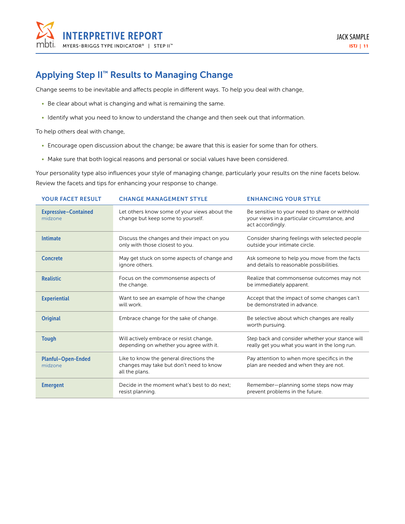

### Applying Step II™ Results to Managing Change

Change seems to be inevitable and affects people in different ways. To help you deal with change,

- Be clear about what is changing and what is remaining the same.
- Identify what you need to know to understand the change and then seek out that information.

To help others deal with change,

- Encourage open discussion about the change; be aware that this is easier for some than for others.
- Make sure that both logical reasons and personal or social values have been considered.

Your personality type also influences your style of managing change, particularly your results on the nine facets below. Review the facets and tips for enhancing your response to change.

| <b>YOUR FACET RESULT</b>               | <b>CHANGE MANAGEMENT STYLE</b>                                                                       | <b>ENHANCING YOUR STYLE</b>                                                                                        |
|----------------------------------------|------------------------------------------------------------------------------------------------------|--------------------------------------------------------------------------------------------------------------------|
| <b>Expressive-Contained</b><br>midzone | Let others know some of your views about the<br>change but keep some to yourself.                    | Be sensitive to your need to share or withhold<br>your views in a particular circumstance, and<br>act accordingly. |
| <b>Intimate</b>                        | Discuss the changes and their impact on you<br>only with those closest to you.                       | Consider sharing feelings with selected people<br>outside your intimate circle.                                    |
| <b>Concrete</b>                        | May get stuck on some aspects of change and<br>ignore others.                                        | Ask someone to help you move from the facts<br>and details to reasonable possibilities.                            |
| <b>Realistic</b>                       | Focus on the commonsense aspects of<br>the change.                                                   | Realize that commonsense outcomes may not<br>be immediately apparent.                                              |
| <b>Experiential</b>                    | Want to see an example of how the change<br>will work.                                               | Accept that the impact of some changes can't<br>be demonstrated in advance.                                        |
| <b>Original</b>                        | Embrace change for the sake of change.                                                               | Be selective about which changes are really<br>worth pursuing.                                                     |
| <b>Tough</b>                           | Will actively embrace or resist change,<br>depending on whether you agree with it.                   | Step back and consider whether your stance will<br>really get you what you want in the long run.                   |
| <b>Planful-Open-Ended</b><br>midzone   | Like to know the general directions the<br>changes may take but don't need to know<br>all the plans. | Pay attention to when more specifics in the<br>plan are needed and when they are not.                              |
| <b>Emergent</b>                        | Decide in the moment what's best to do next:<br>resist planning.                                     | Remember-planning some steps now may<br>prevent problems in the future.                                            |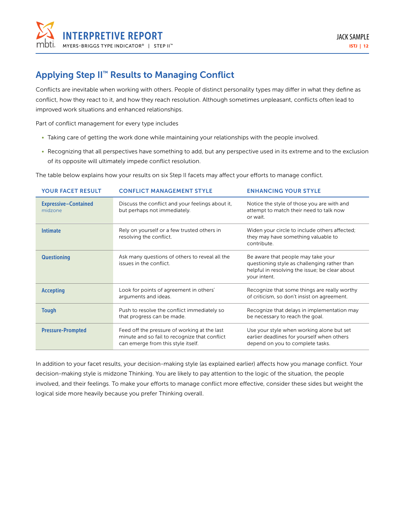

## Applying Step II™ Results to Managing Conflict

Conflicts are inevitable when working with others. People of distinct personality types may differ in what they define as conflict, how they react to it, and how they reach resolution. Although sometimes unpleasant, conflicts often lead to improved work situations and enhanced relationships.

Part of conflict management for every type includes

- Taking care of getting the work done while maintaining your relationships with the people involved.
- Recognizing that all perspectives have something to add, but any perspective used in its extreme and to the exclusion of its opposite will ultimately impede conflict resolution.

The table below explains how your results on six Step II facets may affect your efforts to manage conflict.

| <b>YOUR FACET RESULT</b>               | <b>CONFLICT MANAGEMENT STYLE</b>                                                                                                    | <b>ENHANCING YOUR STYLE</b>                                                                                                                          |
|----------------------------------------|-------------------------------------------------------------------------------------------------------------------------------------|------------------------------------------------------------------------------------------------------------------------------------------------------|
| <b>Expressive-Contained</b><br>midzone | Discuss the conflict and your feelings about it,<br>but perhaps not immediately.                                                    | Notice the style of those you are with and<br>attempt to match their need to talk now<br>or wait.                                                    |
| <b>Intimate</b>                        | Rely on yourself or a few trusted others in<br>resolving the conflict.                                                              | Widen your circle to include others affected;<br>they may have something valuable to<br>contribute.                                                  |
| <b>Questioning</b>                     | Ask many questions of others to reveal all the<br>issues in the conflict.                                                           | Be aware that people may take your<br>questioning style as challenging rather than<br>helpful in resolving the issue; be clear about<br>your intent. |
| <b>Accepting</b>                       | Look for points of agreement in others'<br>arguments and ideas.                                                                     | Recognize that some things are really worthy<br>of criticism, so don't insist on agreement.                                                          |
| <b>Tough</b>                           | Push to resolve the conflict immediately so<br>that progress can be made.                                                           | Recognize that delays in implementation may<br>be necessary to reach the goal.                                                                       |
| <b>Pressure-Prompted</b>               | Feed off the pressure of working at the last<br>minute and so fail to recognize that conflict<br>can emerge from this style itself. | Use your style when working alone but set<br>earlier deadlines for yourself when others<br>depend on you to complete tasks.                          |

In addition to your facet results, your decision-making style (as explained earlier) affects how you manage conflict. Your decision-making style is midzone Thinking. You are likely to pay attention to the logic of the situation, the people involved, and their feelings. To make your efforts to manage conflict more effective, consider these sides but weight the logical side more heavily because you prefer Thinking overall.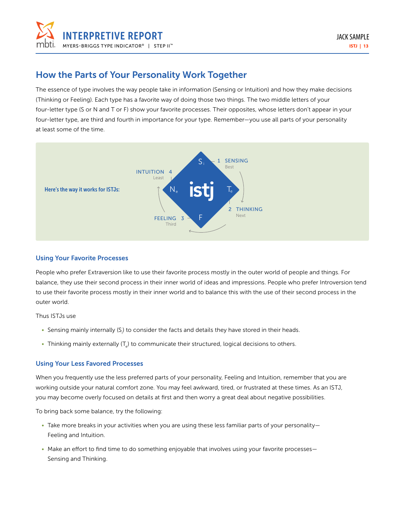

### How the Parts of Your Personality Work Together

The essence of type involves the way people take in information (Sensing or Intuition) and how they make decisions (Thinking or Feeling). Each type has a favorite way of doing those two things. The two middle letters of your four-letter type (S or N and T or F) show your favorite processes. Their opposites, whose letters don't appear in your four-letter type, are third and fourth in importance for your type. Remember—you use all parts of your personality at least some of the time.



#### Using Your Favorite Processes

People who prefer Extraversion like to use their favorite process mostly in the outer world of people and things. For balance, they use their second process in their inner world of ideas and impressions. People who prefer Introversion tend to use their favorite process mostly in their inner world and to balance this with the use of their second process in the outer world.

Thus ISTJs use

- Sensing mainly internally (S<sub>i</sub>) to consider the facts and details they have stored in their heads.
- Thinking mainly externally (T<sub>e</sub>) to communicate their structured, logical decisions to others.

#### Using Your Less Favored Processes

When you frequently use the less preferred parts of your personality, Feeling and Intuition, remember that you are working outside your natural comfort zone. You may feel awkward, tired, or frustrated at these times. As an ISTJ, you may become overly focused on details at first and then worry a great deal about negative possibilities.

To bring back some balance, try the following:

- Take more breaks in your activities when you are using these less familiar parts of your personality— Feeling and Intuition.
- Make an effort to find time to do something enjoyable that involves using your favorite processes— Sensing and Thinking.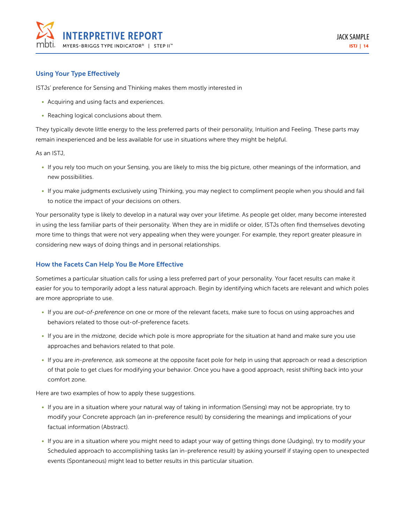

#### Using Your Type Effectively

ISTJs' preference for Sensing and Thinking makes them mostly interested in

- Acquiring and using facts and experiences.
- Reaching logical conclusions about them.

They typically devote little energy to the less preferred parts of their personality, Intuition and Feeling. These parts may remain inexperienced and be less available for use in situations where they might be helpful.

As an ISTJ,

- If you rely too much on your Sensing, you are likely to miss the big picture, other meanings of the information, and new possibilities.
- If you make judgments exclusively using Thinking, you may neglect to compliment people when you should and fail to notice the impact of your decisions on others.

Your personality type is likely to develop in a natural way over your lifetime. As people get older, many become interested in using the less familiar parts of their personality. When they are in midlife or older, ISTJs often find themselves devoting more time to things that were not very appealing when they were younger. For example, they report greater pleasure in considering new ways of doing things and in personal relationships.

#### How the Facets Can Help You Be More Effective

Sometimes a particular situation calls for using a less preferred part of your personality. Your facet results can make it easier for you to temporarily adopt a less natural approach. Begin by identifying which facets are relevant and which poles are more appropriate to use.

- If you are *out-of-preference* on one or more of the relevant facets, make sure to focus on using approaches and behaviors related to those out-of-preference facets.
- If you are in the *midzone,* decide which pole is more appropriate for the situation at hand and make sure you use approaches and behaviors related to that pole.
- If you are *in-preference,* ask someone at the opposite facet pole for help in using that approach or read a description of that pole to get clues for modifying your behavior. Once you have a good approach, resist shifting back into your comfort zone.

Here are two examples of how to apply these suggestions.

- If you are in a situation where your natural way of taking in information (Sensing) may not be appropriate, try to modify your Concrete approach (an in-preference result) by considering the meanings and implications of your factual information (Abstract).
- If you are in a situation where you might need to adapt your way of getting things done (Judging), try to modify your Scheduled approach to accomplishing tasks (an in-preference result) by asking yourself if staying open to unexpected events (Spontaneous) might lead to better results in this particular situation.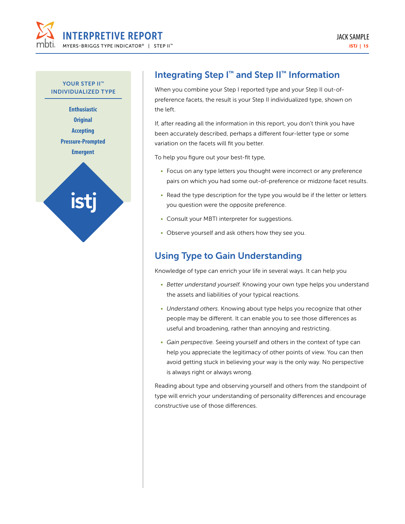

YOUR STEP II<sup>™</sup> INDIVIDUALIZED TYPE

> **Enthusiastic Original Accepting Pressure-Prompted Emergent**



# Integrating Step I<sup>™</sup> and Step II<sup>™</sup> Information

When you combine your Step I reported type and your Step II out-ofpreference facets, the result is your Step II individualized type, shown on the left.

If, after reading all the information in this report, you don't think you have been accurately described, perhaps a different four-letter type or some variation on the facets will fit you better.

To help you figure out your best-fit type,

- Focus on any type letters you thought were incorrect or any preference pairs on which you had some out-of-preference or midzone facet results.
- Read the type description for the type you would be if the letter or letters you question were the opposite preference.
- Consult your MBTI interpreter for suggestions.
- Observe yourself and ask others how they see you.

## Using Type to Gain Understanding

Knowledge of type can enrich your life in several ways. It can help you

- *• Better understand yourself.* Knowing your own type helps you understand the assets and liabilities of your typical reactions.
- *• Understand others.* Knowing about type helps you recognize that other people may be different. It can enable you to see those differences as useful and broadening, rather than annoying and restricting.
- *• Gain perspective.* Seeing yourself and others in the context of type can help you appreciate the legitimacy of other points of view. You can then avoid getting stuck in believing your way is the only way. No perspective is always right or always wrong.

Reading about type and observing yourself and others from the standpoint of type will enrich your understanding of personality differences and encourage constructive use of those differences.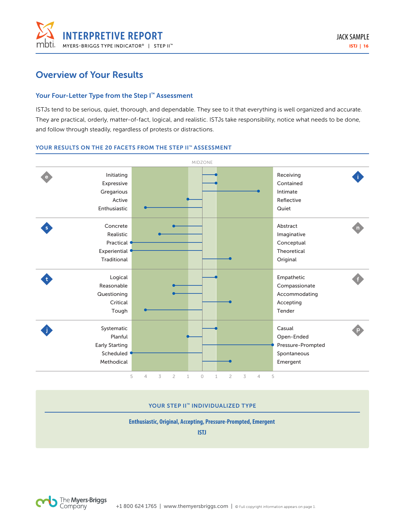

### Overview of Your Results

#### Your Four-Letter Type from the Step I<sup>™</sup> Assessment

ISTJs tend to be serious, quiet, thorough, and dependable. They see to it that everything is well organized and accurate. They are practical, orderly, matter-of-fact, logical, and realistic. ISTJs take responsibility, notice what needs to be done, and follow through steadily, regardless of protests or distractions.

#### YOUR RESULTS ON THE 20 FACETS FROM THE STEP II™ ASSESSMENT



#### YOUR STEP II™ INDIVIDUALIZED TYPE

#### **Enthusiastic, Original, Accepting, Pressure-Prompted, Emergent**

**ISTJ**